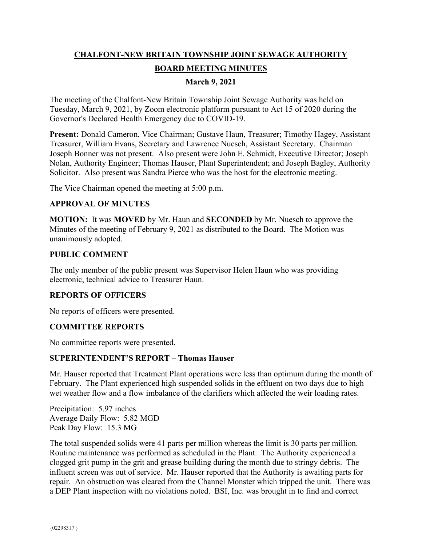# **CHALFONT-NEW BRITAIN TOWNSHIP JOINT SEWAGE AUTHORITY BOARD MEETING MINUTES**

# **March 9, 2021**

The meeting of the Chalfont-New Britain Township Joint Sewage Authority was held on Tuesday, March 9, 2021, by Zoom electronic platform pursuant to Act 15 of 2020 during the Governor's Declared Health Emergency due to COVID-19.

**Present:** Donald Cameron, Vice Chairman; Gustave Haun, Treasurer; Timothy Hagey, Assistant Treasurer, William Evans, Secretary and Lawrence Nuesch, Assistant Secretary. Chairman Joseph Bonner was not present. Also present were John E. Schmidt, Executive Director; Joseph Nolan, Authority Engineer; Thomas Hauser, Plant Superintendent; and Joseph Bagley, Authority Solicitor. Also present was Sandra Pierce who was the host for the electronic meeting.

The Vice Chairman opened the meeting at 5:00 p.m.

### **APPROVAL OF MINUTES**

**MOTION:** It was **MOVED** by Mr. Haun and **SECONDED** by Mr. Nuesch to approve the Minutes of the meeting of February 9, 2021 as distributed to the Board. The Motion was unanimously adopted.

### **PUBLIC COMMENT**

The only member of the public present was Supervisor Helen Haun who was providing electronic, technical advice to Treasurer Haun.

### **REPORTS OF OFFICERS**

No reports of officers were presented.

### **COMMITTEE REPORTS**

No committee reports were presented.

### **SUPERINTENDENT'S REPORT – Thomas Hauser**

Mr. Hauser reported that Treatment Plant operations were less than optimum during the month of February. The Plant experienced high suspended solids in the effluent on two days due to high wet weather flow and a flow imbalance of the clarifiers which affected the weir loading rates.

Precipitation: 5.97 inches Average Daily Flow: 5.82 MGD Peak Day Flow: 15.3 MG

The total suspended solids were 41 parts per million whereas the limit is 30 parts per million. Routine maintenance was performed as scheduled in the Plant. The Authority experienced a clogged grit pump in the grit and grease building during the month due to stringy debris. The influent screen was out of service. Mr. Hauser reported that the Authority is awaiting parts for repair. An obstruction was cleared from the Channel Monster which tripped the unit. There was a DEP Plant inspection with no violations noted. BSI, Inc. was brought in to find and correct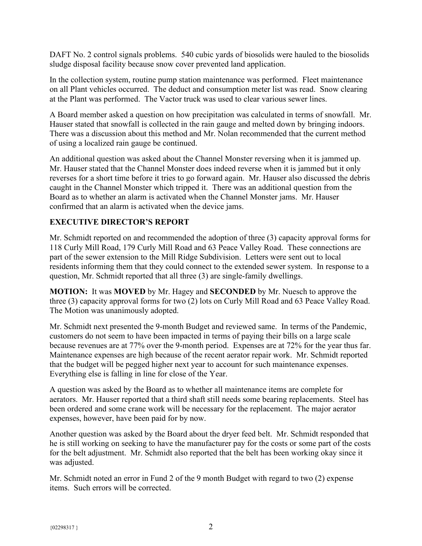DAFT No. 2 control signals problems. 540 cubic yards of biosolids were hauled to the biosolids sludge disposal facility because snow cover prevented land application.

In the collection system, routine pump station maintenance was performed. Fleet maintenance on all Plant vehicles occurred. The deduct and consumption meter list was read. Snow clearing at the Plant was performed. The Vactor truck was used to clear various sewer lines.

A Board member asked a question on how precipitation was calculated in terms of snowfall. Mr. Hauser stated that snowfall is collected in the rain gauge and melted down by bringing indoors. There was a discussion about this method and Mr. Nolan recommended that the current method of using a localized rain gauge be continued.

An additional question was asked about the Channel Monster reversing when it is jammed up. Mr. Hauser stated that the Channel Monster does indeed reverse when it is jammed but it only reverses for a short time before it tries to go forward again. Mr. Hauser also discussed the debris caught in the Channel Monster which tripped it. There was an additional question from the Board as to whether an alarm is activated when the Channel Monster jams. Mr. Hauser confirmed that an alarm is activated when the device jams.

# **EXECUTIVE DIRECTOR'S REPORT**

Mr. Schmidt reported on and recommended the adoption of three (3) capacity approval forms for 118 Curly Mill Road, 179 Curly Mill Road and 63 Peace Valley Road. These connections are part of the sewer extension to the Mill Ridge Subdivision. Letters were sent out to local residents informing them that they could connect to the extended sewer system. In response to a question, Mr. Schmidt reported that all three (3) are single-family dwellings.

**MOTION:** It was **MOVED** by Mr. Hagey and **SECONDED** by Mr. Nuesch to approve the three (3) capacity approval forms for two (2) lots on Curly Mill Road and 63 Peace Valley Road. The Motion was unanimously adopted.

Mr. Schmidt next presented the 9-month Budget and reviewed same. In terms of the Pandemic, customers do not seem to have been impacted in terms of paying their bills on a large scale because revenues are at 77% over the 9-month period. Expenses are at 72% for the year thus far. Maintenance expenses are high because of the recent aerator repair work. Mr. Schmidt reported that the budget will be pegged higher next year to account for such maintenance expenses. Everything else is falling in line for close of the Year.

A question was asked by the Board as to whether all maintenance items are complete for aerators. Mr. Hauser reported that a third shaft still needs some bearing replacements. Steel has been ordered and some crane work will be necessary for the replacement. The major aerator expenses, however, have been paid for by now.

Another question was asked by the Board about the dryer feed belt. Mr. Schmidt responded that he is still working on seeking to have the manufacturer pay for the costs or some part of the costs for the belt adjustment. Mr. Schmidt also reported that the belt has been working okay since it was adjusted.

Mr. Schmidt noted an error in Fund 2 of the 9 month Budget with regard to two (2) expense items. Such errors will be corrected.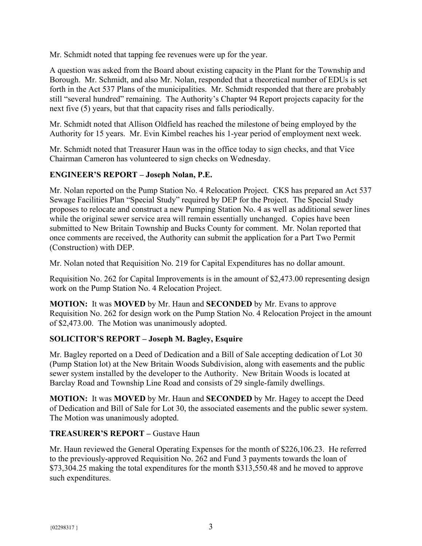Mr. Schmidt noted that tapping fee revenues were up for the year.

A question was asked from the Board about existing capacity in the Plant for the Township and Borough. Mr. Schmidt, and also Mr. Nolan, responded that a theoretical number of EDUs is set forth in the Act 537 Plans of the municipalities. Mr. Schmidt responded that there are probably still "several hundred" remaining. The Authority's Chapter 94 Report projects capacity for the next five (5) years, but that that capacity rises and falls periodically.

Mr. Schmidt noted that Allison Oldfield has reached the milestone of being employed by the Authority for 15 years. Mr. Evin Kimbel reaches his 1-year period of employment next week.

Mr. Schmidt noted that Treasurer Haun was in the office today to sign checks, and that Vice Chairman Cameron has volunteered to sign checks on Wednesday.

# **ENGINEER'S REPORT – Joseph Nolan, P.E.**

Mr. Nolan reported on the Pump Station No. 4 Relocation Project. CKS has prepared an Act 537 Sewage Facilities Plan "Special Study" required by DEP for the Project. The Special Study proposes to relocate and construct a new Pumping Station No. 4 as well as additional sewer lines while the original sewer service area will remain essentially unchanged. Copies have been submitted to New Britain Township and Bucks County for comment. Mr. Nolan reported that once comments are received, the Authority can submit the application for a Part Two Permit (Construction) with DEP.

Mr. Nolan noted that Requisition No. 219 for Capital Expenditures has no dollar amount.

Requisition No. 262 for Capital Improvements is in the amount of \$2,473.00 representing design work on the Pump Station No. 4 Relocation Project.

**MOTION:** It was **MOVED** by Mr. Haun and **SECONDED** by Mr. Evans to approve Requisition No. 262 for design work on the Pump Station No. 4 Relocation Project in the amount of \$2,473.00. The Motion was unanimously adopted.

# **SOLICITOR'S REPORT – Joseph M. Bagley, Esquire**

Mr. Bagley reported on a Deed of Dedication and a Bill of Sale accepting dedication of Lot 30 (Pump Station lot) at the New Britain Woods Subdivision, along with easements and the public sewer system installed by the developer to the Authority. New Britain Woods is located at Barclay Road and Township Line Road and consists of 29 single-family dwellings.

**MOTION:** It was **MOVED** by Mr. Haun and **SECONDED** by Mr. Hagey to accept the Deed of Dedication and Bill of Sale for Lot 30, the associated easements and the public sewer system. The Motion was unanimously adopted.

# **TREASURER'S REPORT –** Gustave Haun

Mr. Haun reviewed the General Operating Expenses for the month of \$226,106.23. He referred to the previously-approved Requisition No. 262 and Fund 3 payments towards the loan of \$73,304.25 making the total expenditures for the month \$313,550.48 and he moved to approve such expenditures.